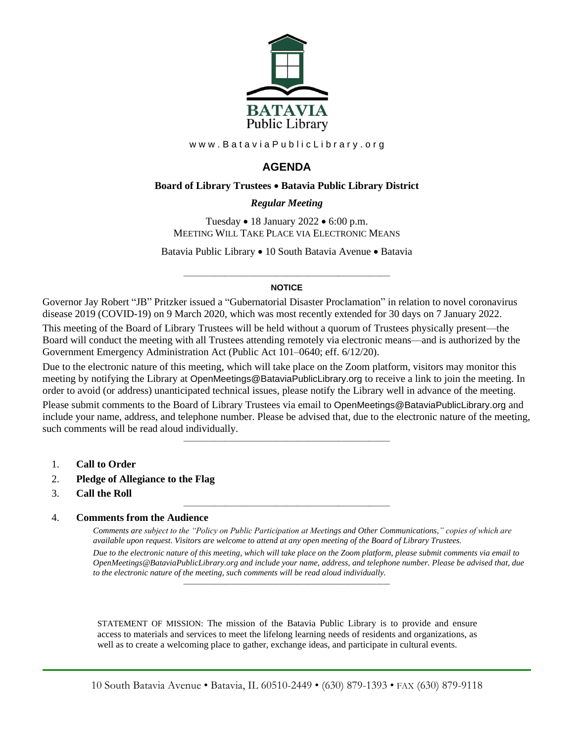

www.BataviaPublicLibrary.org

# **AGENDA**

# **Board of Library Trustees** • **Batavia Public Library District**

# *0BRegular Meeting*

Tuesday • 18 January 2022 • 6:00 p.m. MEETING WILL TAKE PLACE VIA ELECTRONIC MEANS

Batavia Public Library • 10 South Batavia Avenue • Batavia

#### ———————————————————— **NOTICE**

Governor Jay Robert "JB" Pritzker issued a "Gubernatorial Disaster Proclamation" in relation to novel coronavirus disease 2019 (COVID-19) on 9 March 2020, which was most recently extended for 30 days on 7 January 2022.

This meeting of the Board of Library Trustees will be held without a quorum of Trustees physically present—the Board will conduct the meeting with all Trustees attending remotely via electronic means—and is authorized by the Government Emergency Administration Act (Public Act 101–0640; eff. 6/12/20).

Due to the electronic nature of this meeting, which will take place on the Zoom platform, visitors may monitor this meeting by notifying the Library at OpenMeetings@BataviaPublicLibrary.org to receive a link to join the meeting. In order to avoid (or address) unanticipated technical issues, please notify the Library well in advance of the meeting.

Please submit comments to the Board of Library Trustees via email to OpenMeetings@BataviaPublicLibrary.org and include your name, address, and telephone number. Please be advised that, due to the electronic nature of the meeting, such comments will be read aloud individually.

————————————————————

————————————————————

- 1. **Call to Order**
- 2. **Pledge of Allegiance to the Flag**
- 3. **Call the Roll**

# 4. **Comments from the Audience**

*Comments are subject to the "Policy on Public Participation at Meetings and Other Communications," copies of which are available upon request. Visitors are welcome to attend at any open meeting of the Board of Library Trustees. Due to the electronic nature of this meeting, which will take place on the Zoom platform, please submit comments via email to OpenMeetings@BataviaPublicLibrary.org and include your name, address, and telephone number. Please be advised that, due to the electronic nature of the meeting, such comments will be read aloud individually.*

STATEMENT OF MISSION: The mission of the Batavia Public Library is to provide and ensure access to materials and services to meet the lifelong learning needs of residents and organizations, as well as to create a welcoming place to gather, exchange ideas, and participate in cultural events.

————————————————————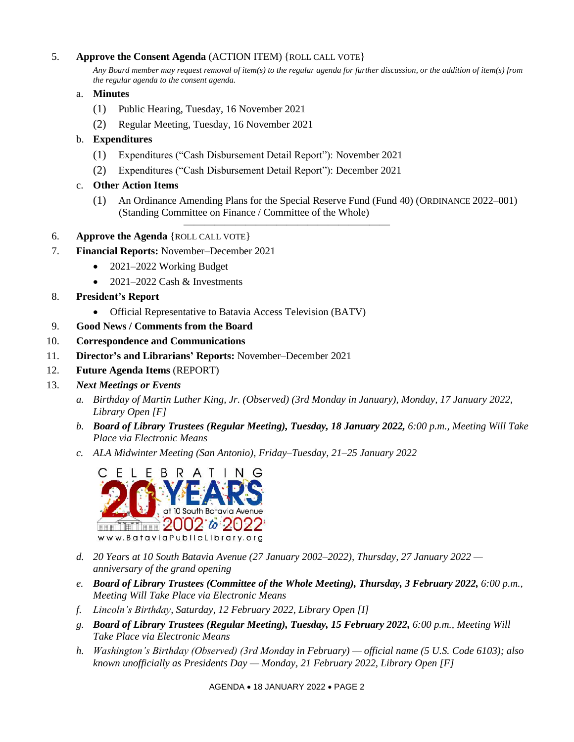# 5. **Approve the Consent Agenda** (ACTION ITEM) {ROLL CALL VOTE}

*Any Board member may request removal of item(s) to the regular agenda for further discussion, or the addition of item(s) from the regular agenda to the consent agenda.*

- a. **Minutes**
	- (1) Public Hearing, Tuesday, 16 November 2021
	- (2) Regular Meeting, Tuesday, 16 November 2021
- b. **Expenditures**
	- (1) Expenditures ("Cash Disbursement Detail Report"): November 2021
	- (2) Expenditures ("Cash Disbursement Detail Report"): December 2021
- c. **Other Action Items**
	- (1) An Ordinance Amending Plans for the Special Reserve Fund (Fund 40) (ORDINANCE 2022–001) (Standing Committee on Finance / Committee of the Whole)

————————————————————

- 6. **Approve the Agenda** {ROLL CALL VOTE}
- 7. **Financial Reports:** November–December 2021
	- 2021–2022 Working Budget
	- 2021–2022 Cash & Investments
- 8. **President's Report**
	- Official Representative to Batavia Access Television (BATV)
- 9. **Good News / Comments from the Board**
- 10. **Correspondence and Communications**
- 11. **Director's and Librarians' Reports:** November–December 2021
- 12. **Future Agenda Items** (REPORT)
- 13. *Next Meetings or Events*
	- *a. Birthday of Martin Luther King, Jr. (Observed) (3rd Monday in January), Monday, 17 January 2022, Library Open [F]*
	- *b. Board of Library Trustees (Regular Meeting), Tuesday, 18 January 2022, 6:00 p.m., Meeting Will Take Place via Electronic Means*
	- *c. ALA Midwinter Meeting (San Antonio), Friday–Tuesday, 21–25 January 2022*



- *d. 20 Years at 10 South Batavia Avenue (27 January 2002–2022), Thursday, 27 January 2022 anniversary of the grand opening*
- *e. Board of Library Trustees (Committee of the Whole Meeting), Thursday, 3 February 2022, 6:00 p.m., Meeting Will Take Place via Electronic Means*
- *f. Lincoln's Birthday, Saturday, 12 February 2022, Library Open [I]*
- *g. Board of Library Trustees (Regular Meeting), Tuesday, 15 February 2022, 6:00 p.m., Meeting Will Take Place via Electronic Means*
- *h. Washington's Birthday (Observed) (3rd Monday in February) — official name (5 U.S. Code 6103); also known unofficially as Presidents Day — Monday, 21 February 2022, Library Open [F]*